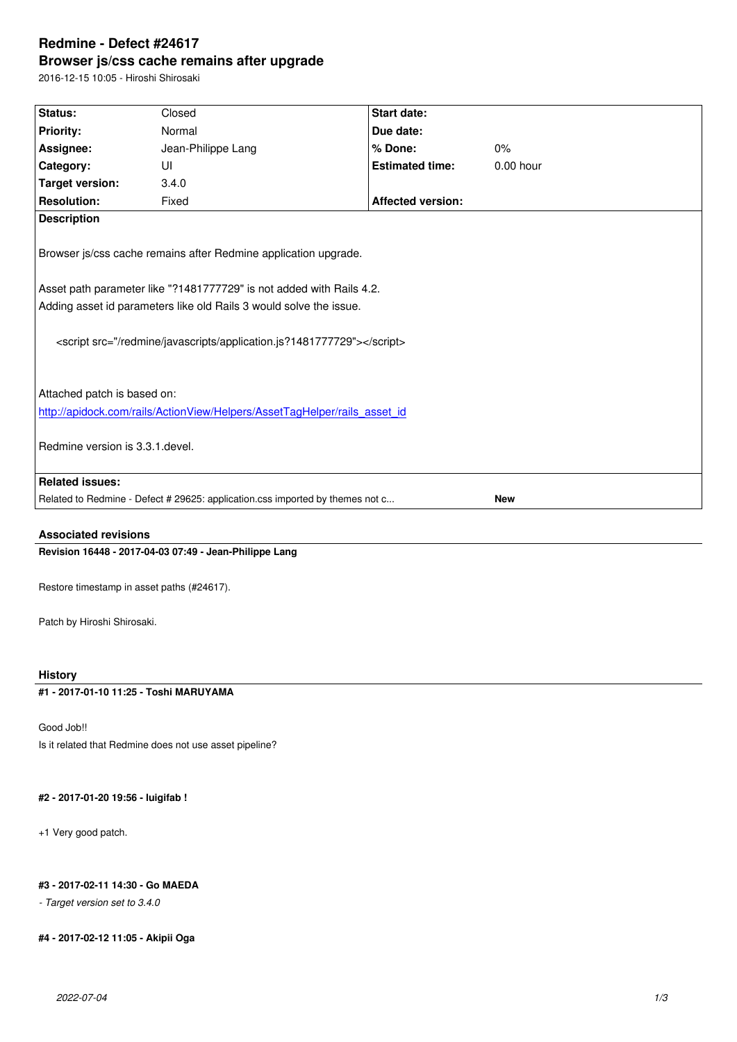#### **Browser js/css cache remains after upgrade**

2016-12-15 10:05 - Hiroshi Shirosaki

| Status:                                                                                     | Closed             | <b>Start date:</b>       |             |
|---------------------------------------------------------------------------------------------|--------------------|--------------------------|-------------|
| <b>Priority:</b>                                                                            | Normal             | Due date:                |             |
|                                                                                             |                    | % Done:                  | $0\%$       |
| Assignee:                                                                                   | Jean-Philippe Lang |                          |             |
| Category:                                                                                   | UI                 | <b>Estimated time:</b>   | $0.00$ hour |
| <b>Target version:</b>                                                                      | 3.4.0              |                          |             |
| <b>Resolution:</b>                                                                          | Fixed              | <b>Affected version:</b> |             |
| <b>Description</b>                                                                          |                    |                          |             |
|                                                                                             |                    |                          |             |
| Browser js/css cache remains after Redmine application upgrade.                             |                    |                          |             |
|                                                                                             |                    |                          |             |
| Asset path parameter like "?1481777729" is not added with Rails 4.2.                        |                    |                          |             |
| Adding asset id parameters like old Rails 3 would solve the issue.                          |                    |                          |             |
|                                                                                             |                    |                          |             |
| <script src="/redmine/javascripts/application.js?1481777729"></script>                      |                    |                          |             |
|                                                                                             |                    |                          |             |
|                                                                                             |                    |                          |             |
|                                                                                             |                    |                          |             |
| Attached patch is based on:                                                                 |                    |                          |             |
| http://apidock.com/rails/ActionView/Helpers/AssetTagHelper/rails_asset_id                   |                    |                          |             |
|                                                                                             |                    |                          |             |
| Redmine version is 3.3.1. devel.                                                            |                    |                          |             |
|                                                                                             |                    |                          |             |
| <b>Related issues:</b>                                                                      |                    |                          |             |
| Related to Redmine - Defect # 29625: application.css imported by themes not c<br><b>New</b> |                    |                          |             |
|                                                                                             |                    |                          |             |

### **Associated revisions**

**Revision 16448 - 2017-04-03 07:49 - Jean-Philippe Lang**

Restore timestamp in asset paths (#24617).

Patch by Hiroshi Shirosaki.

# **History**

# **#1 - 2017-01-10 11:25 - Toshi MARUYAMA**

Good Job!! Is it related that Redmine does not use asset pipeline?

# **#2 - 2017-01-20 19:56 - luigifab !**

+1 Very good patch.

# **#3 - 2017-02-11 14:30 - Go MAEDA**

*- Target version set to 3.4.0*

# **#4 - 2017-02-12 11:05 - Akipii Oga**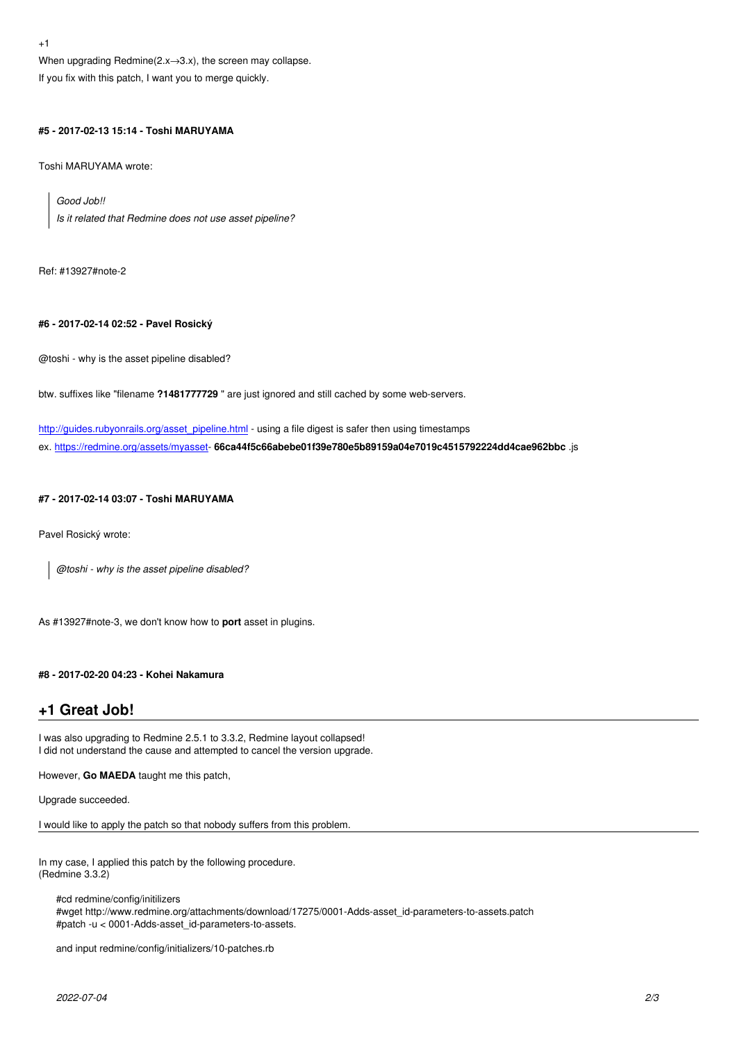When upgrading Redmine $(2.0 - 3.0)$ , the screen may collapse.

If you fix with this patch, I want you to merge quickly.

### **#5 - 2017-02-13 15:14 - Toshi MARUYAMA**

Toshi MARUYAMA wrote:

*Good Job!! Is it related that Redmine does not use asset pipeline?*

Ref: #13927#note-2

### **#6 - 2017-02-14 02:52 - Pavel Rosický**

@toshi - why is the asset pipeline disabled?

btw. suffixes like "filename **?1481777729** " are just ignored and still cached by some web-servers.

http://guides.rubyonrails.org/asset\_pipeline.html - using a file digest is safer then using timestamps ex. https://redmine.org/assets/myasset- **66ca44f5c66abebe01f39e780e5b89159a04e7019c4515792224dd4cae962bbc** .js

### **[#7 - 2017-02-14 03:07 - Toshi MARUYAMA](http://guides.rubyonrails.org/asset_pipeline.html)**

Pavel Rosický wrote:

*@toshi - why is the asset pipeline disabled?*

As #13927#note-3, we don't know how to **port** asset in plugins.

### **#8 - 2017-02-20 04:23 - Kohei Nakamura**

# **+1 Great Job!**

I was also upgrading to Redmine 2.5.1 to 3.3.2, Redmine layout collapsed! I did not understand the cause and attempted to cancel the version upgrade.

However, **Go MAEDA** taught me this patch,

Upgrade succeeded.

I would like to apply the patch so that nobody suffers from this problem.

In my case, I applied this patch by the following procedure. (Redmine 3.3.2)

#cd redmine/config/initilizers #wget http://www.redmine.org/attachments/download/17275/0001-Adds-asset\_id-parameters-to-assets.patch #patch -u < 0001-Adds-asset\_id-parameters-to-assets.

and input redmine/config/initializers/10-patches.rb